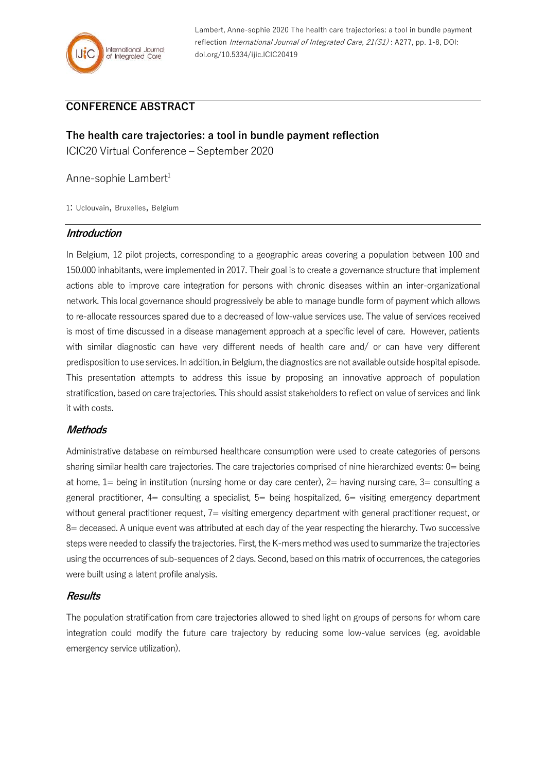

Lambert, Anne-sophie 2020 The health care trajectories: a tool in bundle payment reflection International Journal of Integrated Care, 21(S1) : A277, pp. 1-8, DOI: doi.org/10.5334/ijic.ICIC20419

# **CONFERENCE ABSTRACT**

**The health care trajectories: a tool in bundle payment reflection** ICIC20 Virtual Conference – September 2020

Anne-sophie Lambert $1$ 

1: Uclouvain, Bruxelles, Belgium

#### **Introduction**

In Belgium, 12 pilot projects, corresponding to a geographic areas covering a population between 100 and 150.000 inhabitants, were implemented in 2017. Their goal is to create a governance structure that implement actions able to improve care integration for persons with chronic diseases within an inter-organizational network. This local governance should progressively be able to manage bundle form of payment which allows to re-allocate ressources spared due to a decreased of low-value services use. The value of services received is most of time discussed in a disease management approach at a specific level of care. However, patients with similar diagnostic can have very different needs of health care and/ or can have very different predisposition to use services. In addition, in Belgium, the diagnostics are not available outside hospital episode. This presentation attempts to address this issue by proposing an innovative approach of population stratification, based on care trajectories. This should assist stakeholders to reflect on value of services and link it with costs.

#### **Methods**

Administrative database on reimbursed healthcare consumption were used to create categories of persons sharing similar health care trajectories. The care trajectories comprised of nine hierarchized events: 0= being at home, 1= being in institution (nursing home or day care center), 2= having nursing care, 3= consulting a general practitioner,  $4=$  consulting a specialist,  $5=$  being hospitalized,  $6=$  visiting emergency department without general practitioner request, 7= visiting emergency department with general practitioner request, or 8= deceased. A unique event was attributed at each day of the year respecting the hierarchy. Two successive steps were needed to classify the trajectories. First, the K-mers method was used to summarize the trajectories using the occurrences of sub-sequences of 2 days. Second, based on this matrix of occurrences, the categories were built using a latent profile analysis.

#### **Results**

The population stratification from care trajectories allowed to shed light on groups of persons for whom care integration could modify the future care trajectory by reducing some low-value services (eg. avoidable emergency service utilization).